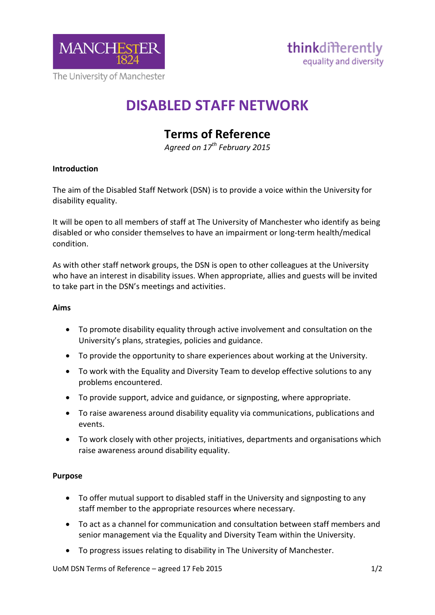

# **DISABLED STAFF NETWORK**

# **Terms of Reference**

*Agreed on 17th February 2015*

## **Introduction**

The aim of the Disabled Staff Network (DSN) is to provide a voice within the University for disability equality.

It will be open to all members of staff at The University of Manchester who identify as being disabled or who consider themselves to have an impairment or long-term health/medical condition.

As with other staff network groups, the DSN is open to other colleagues at the University who have an interest in disability issues. When appropriate, allies and guests will be invited to take part in the DSN's meetings and activities.

#### **Aims**

- To promote disability equality through active involvement and consultation on the University's plans, strategies, policies and guidance.
- To provide the opportunity to share experiences about working at the University.
- To work with the Equality and Diversity Team to develop effective solutions to any problems encountered.
- To provide support, advice and guidance, or signposting, where appropriate.
- To raise awareness around disability equality via communications, publications and events.
- To work closely with other projects, initiatives, departments and organisations which raise awareness around disability equality.

#### **Purpose**

- To offer mutual support to disabled staff in the University and signposting to any staff member to the appropriate resources where necessary.
- To act as a channel for communication and consultation between staff members and senior management via the Equality and Diversity Team within the University.
- To progress issues relating to disability in The University of Manchester.

UoM DSN Terms of Reference – agreed 17 Feb 2015 1/2